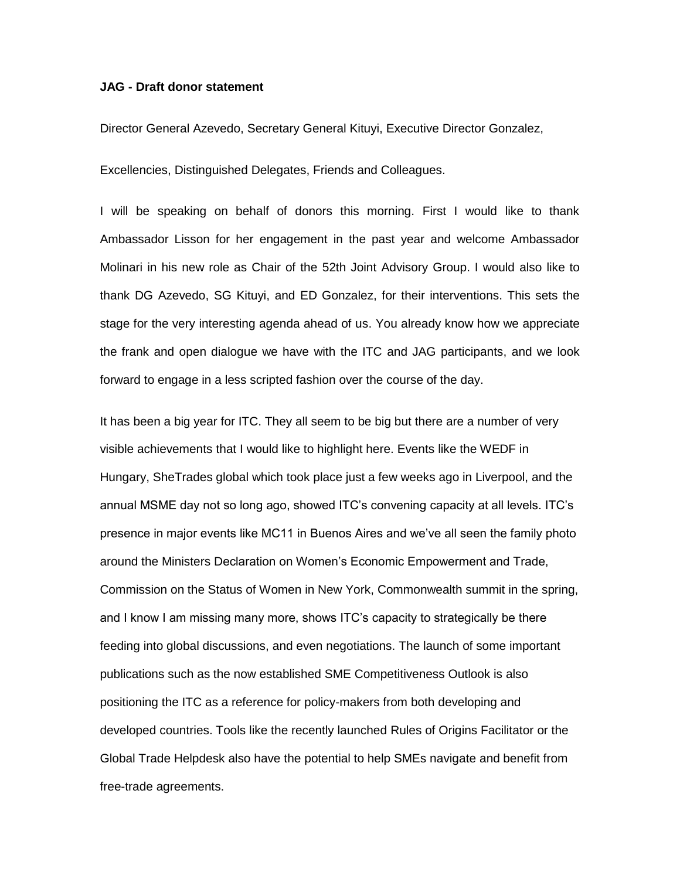## **JAG - Draft donor statement**

Director General Azevedo, Secretary General Kituyi, Executive Director Gonzalez,

Excellencies, Distinguished Delegates, Friends and Colleagues.

I will be speaking on behalf of donors this morning. First I would like to thank Ambassador Lisson for her engagement in the past year and welcome Ambassador Molinari in his new role as Chair of the 52th Joint Advisory Group. I would also like to thank DG Azevedo, SG Kituyi, and ED Gonzalez, for their interventions. This sets the stage for the very interesting agenda ahead of us. You already know how we appreciate the frank and open dialogue we have with the ITC and JAG participants, and we look forward to engage in a less scripted fashion over the course of the day.

It has been a big year for ITC. They all seem to be big but there are a number of very visible achievements that I would like to highlight here. Events like the WEDF in Hungary, SheTrades global which took place just a few weeks ago in Liverpool, and the annual MSME day not so long ago, showed ITC's convening capacity at all levels. ITC's presence in major events like MC11 in Buenos Aires and we've all seen the family photo around the Ministers Declaration on Women's Economic Empowerment and Trade, Commission on the Status of Women in New York, Commonwealth summit in the spring, and I know I am missing many more, shows ITC's capacity to strategically be there feeding into global discussions, and even negotiations. The launch of some important publications such as the now established SME Competitiveness Outlook is also positioning the ITC as a reference for policy-makers from both developing and developed countries. Tools like the recently launched Rules of Origins Facilitator or the Global Trade Helpdesk also have the potential to help SMEs navigate and benefit from free-trade agreements.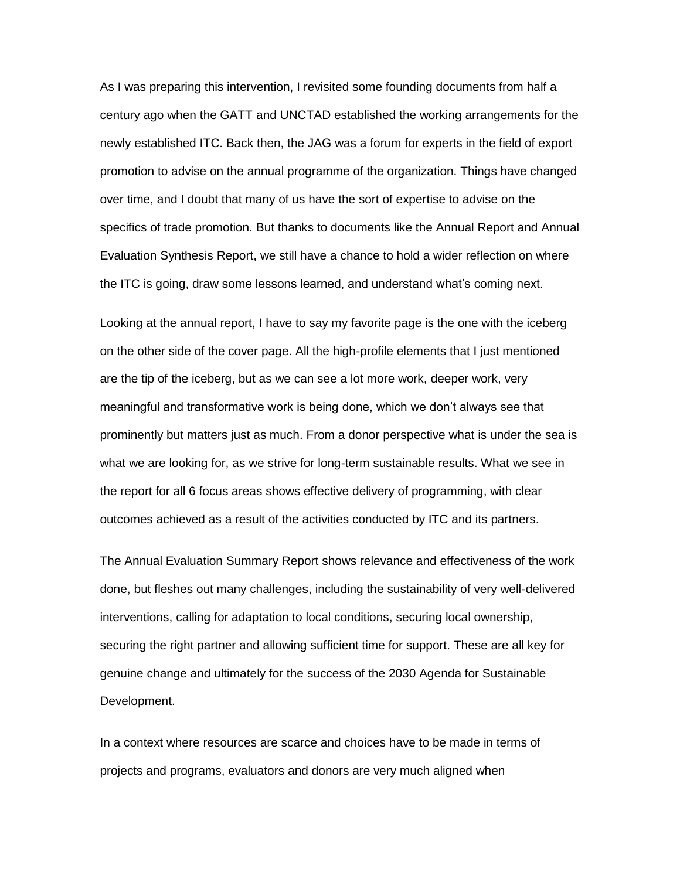As I was preparing this intervention, I revisited some founding documents from half a century ago when the GATT and UNCTAD established the working arrangements for the newly established ITC. Back then, the JAG was a forum for experts in the field of export promotion to advise on the annual programme of the organization. Things have changed over time, and I doubt that many of us have the sort of expertise to advise on the specifics of trade promotion. But thanks to documents like the Annual Report and Annual Evaluation Synthesis Report, we still have a chance to hold a wider reflection on where the ITC is going, draw some lessons learned, and understand what's coming next.

Looking at the annual report, I have to say my favorite page is the one with the iceberg on the other side of the cover page. All the high-profile elements that I just mentioned are the tip of the iceberg, but as we can see a lot more work, deeper work, very meaningful and transformative work is being done, which we don't always see that prominently but matters just as much. From a donor perspective what is under the sea is what we are looking for, as we strive for long-term sustainable results. What we see in the report for all 6 focus areas shows effective delivery of programming, with clear outcomes achieved as a result of the activities conducted by ITC and its partners.

The Annual Evaluation Summary Report shows relevance and effectiveness of the work done, but fleshes out many challenges, including the sustainability of very well-delivered interventions, calling for adaptation to local conditions, securing local ownership, securing the right partner and allowing sufficient time for support. These are all key for genuine change and ultimately for the success of the 2030 Agenda for Sustainable Development.

In a context where resources are scarce and choices have to be made in terms of projects and programs, evaluators and donors are very much aligned when